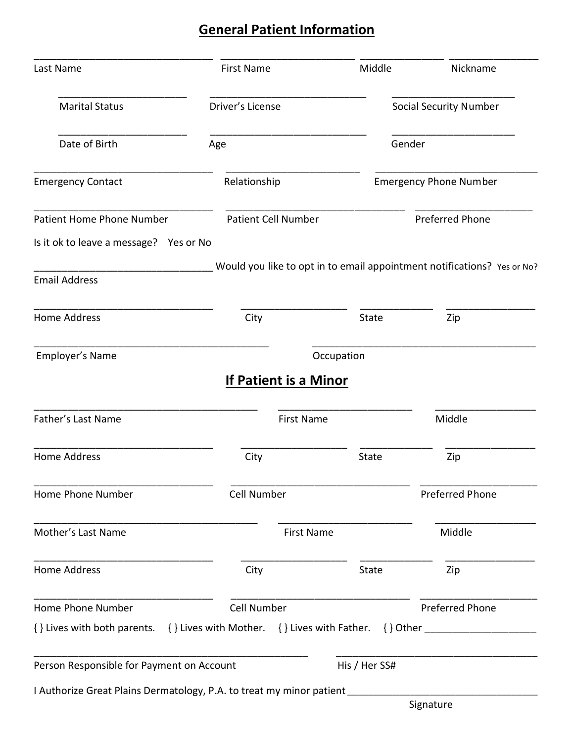# **General Patient Information**

| Last Name                                                                                            | <b>First Name</b>          | Middle        | Nickname                                                                |  |  |
|------------------------------------------------------------------------------------------------------|----------------------------|---------------|-------------------------------------------------------------------------|--|--|
| <b>Marital Status</b>                                                                                | Driver's License           |               | <b>Social Security Number</b>                                           |  |  |
| Date of Birth                                                                                        | Age                        |               | Gender                                                                  |  |  |
| <b>Emergency Contact</b>                                                                             | Relationship               |               | <b>Emergency Phone Number</b>                                           |  |  |
| <b>Patient Home Phone Number</b>                                                                     | <b>Patient Cell Number</b> |               | <b>Preferred Phone</b>                                                  |  |  |
| Is it ok to leave a message? Yes or No                                                               |                            |               |                                                                         |  |  |
| <b>Email Address</b>                                                                                 |                            |               | Would you like to opt in to email appointment notifications? Yes or No? |  |  |
| <b>Home Address</b>                                                                                  | City                       | <b>State</b>  | Zip                                                                     |  |  |
| Employer's Name                                                                                      |                            | Occupation    |                                                                         |  |  |
|                                                                                                      | If Patient is a Minor      |               |                                                                         |  |  |
| Father's Last Name                                                                                   | <b>First Name</b>          |               | Middle                                                                  |  |  |
| <b>Home Address</b>                                                                                  | City                       | State         | Zip                                                                     |  |  |
| Home Phone Number                                                                                    | Cell Number                |               | Preferred Phone                                                         |  |  |
| Mother's Last Name                                                                                   | <b>First Name</b>          |               | Middle                                                                  |  |  |
| Home Address                                                                                         | City                       | State         | Zip                                                                     |  |  |
| Home Phone Number                                                                                    | Cell Number                |               | <b>Preferred Phone</b>                                                  |  |  |
| {} Lives with both parents. {} Lives with Mother. {} Lives with Father. {} Other ___________________ |                            |               |                                                                         |  |  |
| Person Responsible for Payment on Account                                                            |                            | His / Her SS# |                                                                         |  |  |
| I Authorize Great Plains Dermatology, P.A. to treat my minor patient ____________                    |                            |               | Signature                                                               |  |  |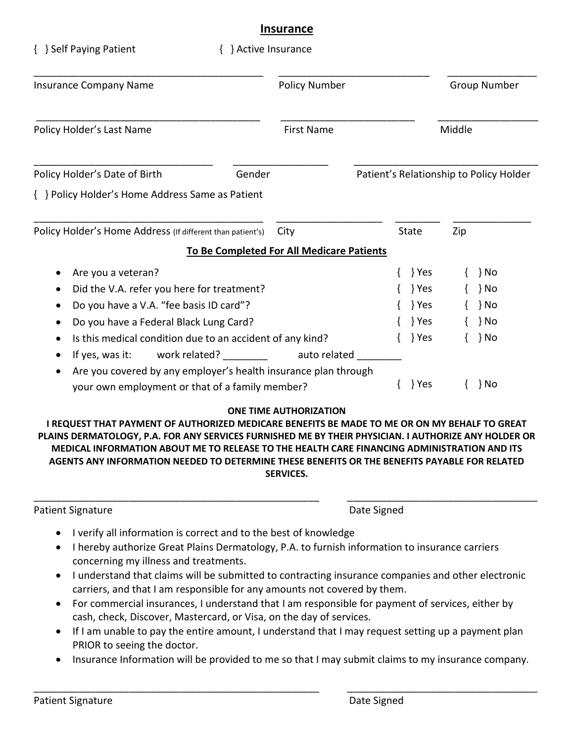#### **Insurance**

| { } Self Paying Patient                                                                                                                                                                                                                                                                                  | { } Active Insurance                              |                      |                                                                                   |        |                                                          |
|----------------------------------------------------------------------------------------------------------------------------------------------------------------------------------------------------------------------------------------------------------------------------------------------------------|---------------------------------------------------|----------------------|-----------------------------------------------------------------------------------|--------|----------------------------------------------------------|
| <b>Insurance Company Name</b>                                                                                                                                                                                                                                                                            |                                                   | <b>Policy Number</b> |                                                                                   |        | Group Number                                             |
| Policy Holder's Last Name                                                                                                                                                                                                                                                                                |                                                   | <b>First Name</b>    |                                                                                   | Middle |                                                          |
| Policy Holder's Date of Birth                                                                                                                                                                                                                                                                            | Gender                                            |                      |                                                                                   |        | Patient's Relationship to Policy Holder                  |
| { } Policy Holder's Home Address Same as Patient                                                                                                                                                                                                                                                         |                                                   |                      |                                                                                   |        |                                                          |
| Policy Holder's Home Address (If different than patient's)                                                                                                                                                                                                                                               | City<br>To Be Completed For All Medicare Patients |                      | <b>State</b>                                                                      | Zip    |                                                          |
| Are you a veteran?<br>Did the V.A. refer you here for treatment?<br>Do you have a V.A. "fee basis ID card"?<br>Do you have a Federal Black Lung Card?<br>Is this medical condition due to an accident of any kind?<br>If yes, was it:<br>Are you covered by any employer's health insurance plan through | work related? _________                           | auto related         | $\{\quad\}$ Yes<br>$\{\quad\}$ Yes<br>Yes }<br>$\{\quad\}$ Yes<br>$\{\quad\}$ Yes |        | } No<br>} No<br>$\{\quad\}$ No<br>$\{\quad\}$ No<br>} No |
| your own employment or that of a family member?                                                                                                                                                                                                                                                          |                                                   |                      | Yes }                                                                             |        | ∤ No                                                     |

#### **ONE TIME AUTHORIZATION**

**I REQUEST THAT PAYMENT OF AUTHORIZED MEDICARE BENEFITS BE MADE TO ME OR ON MY BEHALF TO GREAT PLAINS DERMATOLOGY, P.A. FOR ANY SERVICES FURNISHED ME BY THEIR PHYSICIAN. I AUTHORIZE ANY HOLDER OR MEDICAL INFORMATION ABOUT ME TO RELEASE TO THE HEALTH CARE FINANCING ADMINISTRATION AND ITS AGENTS ANY INFORMATION NEEDED TO DETERMINE THESE BENEFITS OR THE BENEFITS PAYABLE FOR RELATED SERVICES.**

\_\_\_\_\_\_\_\_\_\_\_\_\_\_\_\_\_\_\_\_\_\_\_\_\_\_\_\_\_\_\_\_\_\_\_\_\_\_\_\_\_\_\_\_\_\_\_\_\_\_\_ \_\_\_\_\_\_\_\_\_\_\_\_\_\_\_\_\_\_\_\_\_\_\_\_\_\_\_\_\_\_\_\_\_\_

Patient Signature Date Signed

- I verify all information is correct and to the best of knowledge
- I hereby authorize Great Plains Dermatology, P.A. to furnish information to insurance carriers concerning my illness and treatments.
- I understand that claims will be submitted to contracting insurance companies and other electronic carriers, and that I am responsible for any amounts not covered by them.
- For commercial insurances, I understand that I am responsible for payment of services, either by cash, check, Discover, Mastercard, or Visa, on the day of services.
- If I am unable to pay the entire amount, I understand that I may request setting up a payment plan PRIOR to seeing the doctor.
- Insurance Information will be provided to me so that I may submit claims to my insurance company.

\_\_\_\_\_\_\_\_\_\_\_\_\_\_\_\_\_\_\_\_\_\_\_\_\_\_\_\_\_\_\_\_\_\_\_\_\_\_\_\_\_\_\_\_\_\_\_\_\_\_\_ \_\_\_\_\_\_\_\_\_\_\_\_\_\_\_\_\_\_\_\_\_\_\_\_\_\_\_\_\_\_\_\_\_\_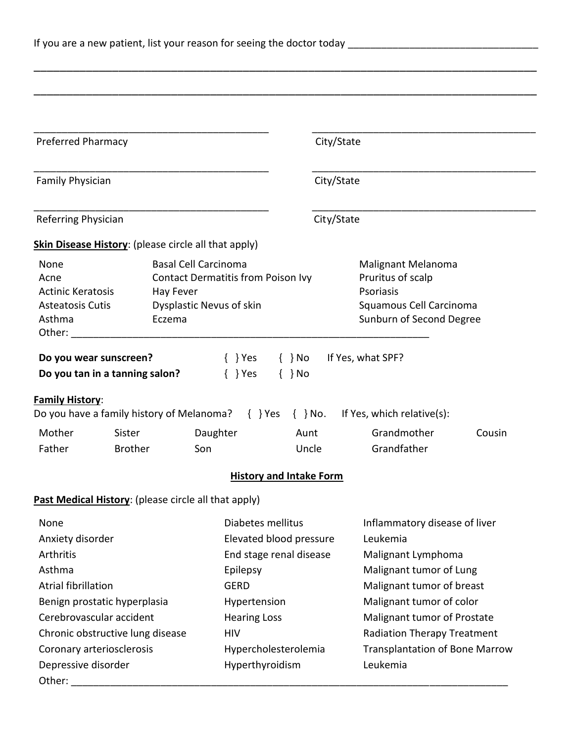| <b>Preferred Pharmacy</b>                                                                                                                                                                                              |                          |                                                                                                                                                                                                                                |                                                                                                                                                                                                    |                                                                                                             | City/State                                                                                                                                                                                                                                                             |                                           |        |
|------------------------------------------------------------------------------------------------------------------------------------------------------------------------------------------------------------------------|--------------------------|--------------------------------------------------------------------------------------------------------------------------------------------------------------------------------------------------------------------------------|----------------------------------------------------------------------------------------------------------------------------------------------------------------------------------------------------|-------------------------------------------------------------------------------------------------------------|------------------------------------------------------------------------------------------------------------------------------------------------------------------------------------------------------------------------------------------------------------------------|-------------------------------------------|--------|
| Family Physician                                                                                                                                                                                                       |                          |                                                                                                                                                                                                                                |                                                                                                                                                                                                    |                                                                                                             | City/State                                                                                                                                                                                                                                                             |                                           |        |
| <b>Referring Physician</b>                                                                                                                                                                                             |                          |                                                                                                                                                                                                                                |                                                                                                                                                                                                    |                                                                                                             | City/State                                                                                                                                                                                                                                                             |                                           |        |
|                                                                                                                                                                                                                        |                          | <b>Skin Disease History:</b> (please circle all that apply)                                                                                                                                                                    |                                                                                                                                                                                                    |                                                                                                             |                                                                                                                                                                                                                                                                        |                                           |        |
| <b>Basal Cell Carcinoma</b><br>None<br><b>Contact Dermatitis from Poison Ivy</b><br>Acne<br><b>Actinic Keratosis</b><br>Hay Fever<br>Dysplastic Nevus of skin<br><b>Asteatosis Cutis</b><br>Asthma<br>Eczema<br>Other: |                          |                                                                                                                                                                                                                                |                                                                                                                                                                                                    | Malignant Melanoma<br>Pruritus of scalp<br>Psoriasis<br>Squamous Cell Carcinoma<br>Sunburn of Second Degree |                                                                                                                                                                                                                                                                        |                                           |        |
| Do you wear sunscreen?<br>Do you tan in a tanning salon?<br><b>Family History:</b>                                                                                                                                     |                          |                                                                                                                                                                                                                                | $\{\quad\}$ Yes<br>$\{\}$ Yes                                                                                                                                                                      | $\{\}$ No<br>$\{\}$ No                                                                                      |                                                                                                                                                                                                                                                                        | If Yes, what SPF?                         |        |
|                                                                                                                                                                                                                        |                          | Do you have a family history of Melanoma? $\{ \}$ Yes $\{ \}$ No.                                                                                                                                                              |                                                                                                                                                                                                    |                                                                                                             |                                                                                                                                                                                                                                                                        | If Yes, which relative(s):<br>Grandmother |        |
| Mother<br>Father                                                                                                                                                                                                       | Sister<br><b>Brother</b> | Daughter<br>Son                                                                                                                                                                                                                |                                                                                                                                                                                                    | Aunt<br>Uncle                                                                                               |                                                                                                                                                                                                                                                                        | Grandfather                               | Cousin |
|                                                                                                                                                                                                                        |                          |                                                                                                                                                                                                                                | <b>History and Intake Form</b>                                                                                                                                                                     |                                                                                                             |                                                                                                                                                                                                                                                                        |                                           |        |
|                                                                                                                                                                                                                        |                          | Past Medical History: (please circle all that apply)                                                                                                                                                                           |                                                                                                                                                                                                    |                                                                                                             |                                                                                                                                                                                                                                                                        |                                           |        |
| None<br>Anxiety disorder<br>Arthritis<br>Asthma<br><b>Atrial fibrillation</b><br>Benign prostatic hyperplasia<br>Cerebrovascular accident<br>Chronic obstructive lung disease<br>Coronary arteriosclerosis             |                          |                                                                                                                                                                                                                                | Diabetes mellitus<br>Elevated blood pressure<br>End stage renal disease<br>Epilepsy<br><b>GERD</b><br>Hypertension<br><b>Hearing Loss</b><br><b>HIV</b><br>Hypercholesterolemia<br>Hyperthyroidism |                                                                                                             | Inflammatory disease of liver<br>Leukemia<br>Malignant Lymphoma<br>Malignant tumor of Lung<br>Malignant tumor of breast<br>Malignant tumor of color<br>Malignant tumor of Prostate<br>Radiation Therapy Treatment<br><b>Transplantation of Bone Marrow</b><br>Leukemia |                                           |        |
| Depressive disorder                                                                                                                                                                                                    |                          | Other: when the contract of the contract of the contract of the contract of the contract of the contract of the contract of the contract of the contract of the contract of the contract of the contract of the contract of th |                                                                                                                                                                                                    |                                                                                                             |                                                                                                                                                                                                                                                                        |                                           |        |

\_\_\_\_\_\_\_\_\_\_\_\_\_\_\_\_\_\_\_\_\_\_\_\_\_\_\_\_\_\_\_\_\_\_\_\_\_\_\_\_\_\_\_\_\_\_\_\_\_\_\_\_\_\_\_\_\_\_\_\_\_\_\_\_\_\_\_\_\_\_\_\_\_\_\_\_\_